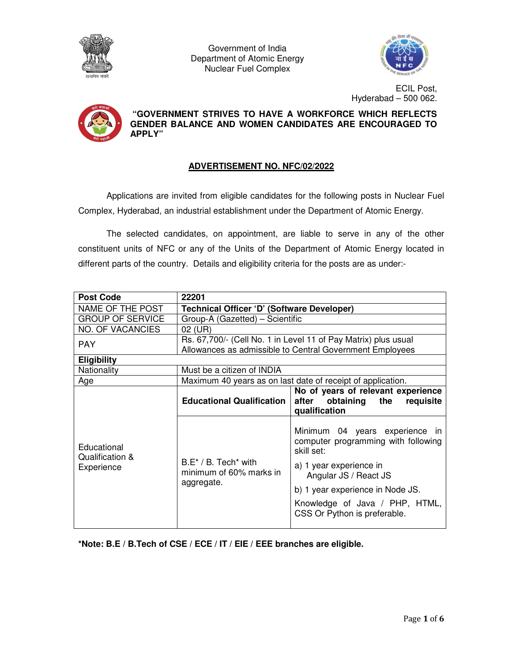

Government of India Department of Atomic Energy Nuclear Fuel Complex



ECIL Post, Hyderabad – 500 062.



 **"GOVERNMENT STRIVES TO HAVE A WORKFORCE WHICH REFLECTS GENDER BALANCE AND WOMEN CANDIDATES ARE ENCOURAGED TO APPLY"** 

# **ADVERTISEMENT NO. NFC/02/2022**

Applications are invited from eligible candidates for the following posts in Nuclear Fuel Complex, Hyderabad, an industrial establishment under the Department of Atomic Energy.

The selected candidates, on appointment, are liable to serve in any of the other constituent units of NFC or any of the Units of the Department of Atomic Energy located in different parts of the country. Details and eligibility criteria for the posts are as under:-

| <b>Post Code</b>                             | 22201                                                                         |                                                                                     |  |
|----------------------------------------------|-------------------------------------------------------------------------------|-------------------------------------------------------------------------------------|--|
| NAME OF THE POST                             | Technical Officer 'D' (Software Developer)                                    |                                                                                     |  |
| <b>GROUP OF SERVICE</b>                      | Group-A (Gazetted) – Scientific                                               |                                                                                     |  |
| <b>NO. OF VACANCIES</b>                      | 02 (UR)                                                                       |                                                                                     |  |
| <b>PAY</b>                                   | Rs. 67,700/- (Cell No. 1 in Level 11 of Pay Matrix) plus usual                |                                                                                     |  |
| <b>Eligibility</b>                           | Allowances as admissible to Central Government Employees                      |                                                                                     |  |
| Nationality                                  | Must be a citizen of INDIA                                                    |                                                                                     |  |
| Age                                          | Maximum 40 years as on last date of receipt of application.                   |                                                                                     |  |
| Educational<br>Qualification &<br>Experience |                                                                               | No of years of relevant experience                                                  |  |
|                                              | <b>Educational Qualification</b>                                              | obtaining the<br>after<br>requisite                                                 |  |
|                                              |                                                                               | qualification                                                                       |  |
|                                              | $B.E^* / B$ . Tech <sup>*</sup> with<br>minimum of 60% marks in<br>aggregate. | Minimum 04 years experience in<br>computer programming with following<br>skill set: |  |
|                                              |                                                                               | a) 1 year experience in<br>Angular JS / React JS                                    |  |
|                                              |                                                                               | b) 1 year experience in Node JS.                                                    |  |
|                                              |                                                                               | Knowledge of Java / PHP, HTML,<br>CSS Or Python is preferable.                      |  |
|                                              |                                                                               |                                                                                     |  |

**\*Note: B.E / B.Tech of CSE / ECE / IT / EIE / EEE branches are eligible.**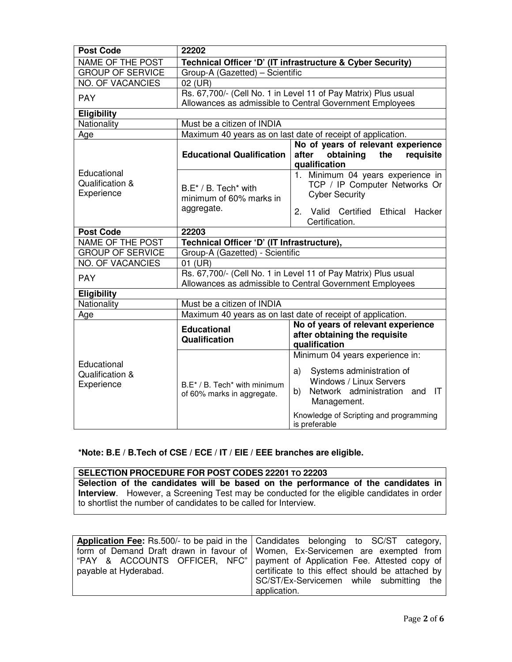| <b>Post Code</b>                             | 22202                                                                                                                      |                                                                                                                                                                                                                             |
|----------------------------------------------|----------------------------------------------------------------------------------------------------------------------------|-----------------------------------------------------------------------------------------------------------------------------------------------------------------------------------------------------------------------------|
| NAME OF THE POST                             |                                                                                                                            | Technical Officer 'D' (IT infrastructure & Cyber Security)                                                                                                                                                                  |
| <b>GROUP OF SERVICE</b>                      | Group-A (Gazetted) - Scientific                                                                                            |                                                                                                                                                                                                                             |
| <b>NO. OF VACANCIES</b>                      | 02 (UR)                                                                                                                    |                                                                                                                                                                                                                             |
| <b>PAY</b>                                   | Rs. 67,700/- (Cell No. 1 in Level 11 of Pay Matrix) Plus usual<br>Allowances as admissible to Central Government Employees |                                                                                                                                                                                                                             |
| <b>Eligibility</b>                           |                                                                                                                            |                                                                                                                                                                                                                             |
| Nationality                                  | Must be a citizen of INDIA                                                                                                 |                                                                                                                                                                                                                             |
| Age                                          | Maximum 40 years as on last date of receipt of application.                                                                |                                                                                                                                                                                                                             |
|                                              | <b>Educational Qualification</b>                                                                                           | No of years of relevant experience<br>obtaining the<br>after<br>requisite<br>qualification                                                                                                                                  |
| Educational<br>Qualification &<br>Experience | B.E* / B. Tech* with<br>minimum of 60% marks in<br>aggregate.                                                              | 1. Minimum 04 years experience in<br>TCP / IP Computer Networks Or<br><b>Cyber Security</b><br>2.<br>Valid Certified Ethical<br>Hacker<br>Certification.                                                                    |
| <b>Post Code</b>                             | 22203                                                                                                                      |                                                                                                                                                                                                                             |
| <b>NAME OF THE POST</b>                      | Technical Officer 'D' (IT Infrastructure),                                                                                 |                                                                                                                                                                                                                             |
| <b>GROUP OF SERVICE</b>                      | Group-A (Gazetted) - Scientific                                                                                            |                                                                                                                                                                                                                             |
| <b>NO. OF VACANCIES</b>                      | 01 (UR)                                                                                                                    |                                                                                                                                                                                                                             |
| <b>PAY</b>                                   | Rs. 67,700/- (Cell No. 1 in Level 11 of Pay Matrix) Plus usual<br>Allowances as admissible to Central Government Employees |                                                                                                                                                                                                                             |
| <b>Eligibility</b>                           |                                                                                                                            |                                                                                                                                                                                                                             |
| Nationality                                  | Must be a citizen of INDIA                                                                                                 |                                                                                                                                                                                                                             |
| Age                                          | Maximum 40 years as on last date of receipt of application.                                                                |                                                                                                                                                                                                                             |
|                                              | <b>Educational</b><br>Qualification                                                                                        | No of years of relevant experience<br>after obtaining the requisite<br>qualification                                                                                                                                        |
| Educational<br>Qualification &<br>Experience | B.E* / B. Tech* with minimum<br>of 60% marks in aggregate.                                                                 | Minimum 04 years experience in:<br>Systems administration of<br>a)<br>Windows / Linux Servers<br>Network administration and<br>$\mathsf{I}$<br>b)<br>Management.<br>Knowledge of Scripting and programming<br>is preferable |

### **\*Note: B.E / B.Tech of CSE / ECE / IT / EIE / EEE branches are eligible.**

# **SELECTION PROCEDURE FOR POST CODES 22201 TO 22203**

**Selection of the candidates will be based on the performance of the candidates in Interview**. However, a Screening Test may be conducted for the eligible candidates in order to shortlist the number of candidates to be called for Interview.

|                       | Application Fee: Rs.500/- to be paid in the   Candidates belonging to SC/ST category, |
|-----------------------|---------------------------------------------------------------------------------------|
|                       | form of Demand Draft drawn in favour of Women, Ex-Servicemen are exempted from        |
|                       | "PAY & ACCOUNTS OFFICER, NFC"   payment of Application Fee. Attested copy of          |
| payable at Hyderabad. | certificate to this effect should be attached by                                      |
|                       | SC/ST/Ex-Servicemen while submitting the                                              |
|                       | application.                                                                          |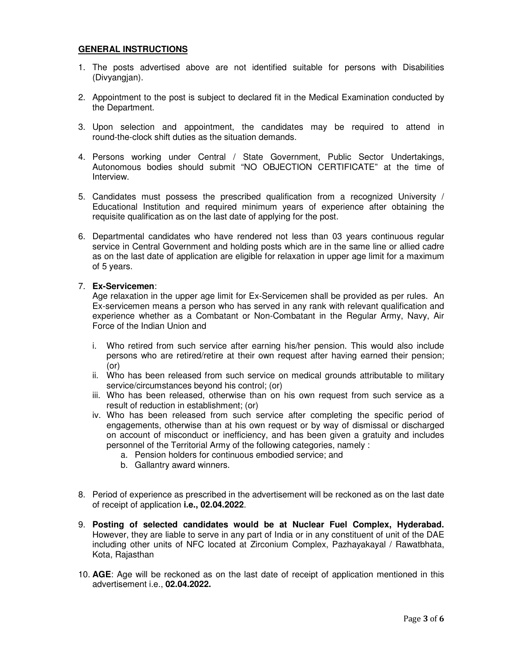#### **GENERAL INSTRUCTIONS**

- 1. The posts advertised above are not identified suitable for persons with Disabilities (Divyangjan).
- 2. Appointment to the post is subject to declared fit in the Medical Examination conducted by the Department.
- 3. Upon selection and appointment, the candidates may be required to attend in round-the-clock shift duties as the situation demands.
- 4. Persons working under Central / State Government, Public Sector Undertakings, Autonomous bodies should submit "NO OBJECTION CERTIFICATE" at the time of **Interview**
- 5. Candidates must possess the prescribed qualification from a recognized University / Educational Institution and required minimum years of experience after obtaining the requisite qualification as on the last date of applying for the post.
- 6. Departmental candidates who have rendered not less than 03 years continuous regular service in Central Government and holding posts which are in the same line or allied cadre as on the last date of application are eligible for relaxation in upper age limit for a maximum of 5 years.

#### 7. **Ex-Servicemen**:

Age relaxation in the upper age limit for Ex-Servicemen shall be provided as per rules. An Ex-servicemen means a person who has served in any rank with relevant qualification and experience whether as a Combatant or Non-Combatant in the Regular Army, Navy, Air Force of the Indian Union and

- i. Who retired from such service after earning his/her pension. This would also include persons who are retired/retire at their own request after having earned their pension; (or)
- ii. Who has been released from such service on medical grounds attributable to military service/circumstances beyond his control; (or)
- iii. Who has been released, otherwise than on his own request from such service as a result of reduction in establishment; (or)
- iv. Who has been released from such service after completing the specific period of engagements, otherwise than at his own request or by way of dismissal or discharged on account of misconduct or inefficiency, and has been given a gratuity and includes personnel of the Territorial Army of the following categories, namely :
	- a. Pension holders for continuous embodied service; and
	- b. Gallantry award winners.
- 8. Period of experience as prescribed in the advertisement will be reckoned as on the last date of receipt of application **i.e., 02.04.2022**.
- 9. **Posting of selected candidates would be at Nuclear Fuel Complex, Hyderabad.**  However, they are liable to serve in any part of India or in any constituent of unit of the DAE including other units of NFC located at Zirconium Complex, Pazhayakayal / Rawatbhata, Kota, Rajasthan
- 10. **AGE**: Age will be reckoned as on the last date of receipt of application mentioned in this advertisement i.e., **02.04.2022.**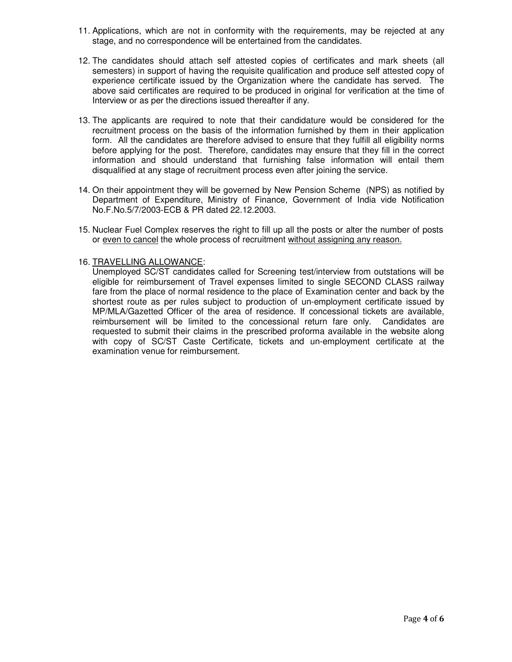- 11. Applications, which are not in conformity with the requirements, may be rejected at any stage, and no correspondence will be entertained from the candidates.
- 12. The candidates should attach self attested copies of certificates and mark sheets (all semesters) in support of having the requisite qualification and produce self attested copy of experience certificate issued by the Organization where the candidate has served. The above said certificates are required to be produced in original for verification at the time of Interview or as per the directions issued thereafter if any.
- 13. The applicants are required to note that their candidature would be considered for the recruitment process on the basis of the information furnished by them in their application form. All the candidates are therefore advised to ensure that they fulfill all eligibility norms before applying for the post. Therefore, candidates may ensure that they fill in the correct information and should understand that furnishing false information will entail them disqualified at any stage of recruitment process even after joining the service.
- 14. On their appointment they will be governed by New Pension Scheme (NPS) as notified by Department of Expenditure, Ministry of Finance, Government of India vide Notification No.F.No.5/7/2003-ECB & PR dated 22.12.2003.
- 15. Nuclear Fuel Complex reserves the right to fill up all the posts or alter the number of posts or even to cancel the whole process of recruitment without assigning any reason.

### 16. TRAVELLING ALLOWANCE:

Unemployed SC/ST candidates called for Screening test/interview from outstations will be eligible for reimbursement of Travel expenses limited to single SECOND CLASS railway fare from the place of normal residence to the place of Examination center and back by the shortest route as per rules subject to production of un-employment certificate issued by MP/MLA/Gazetted Officer of the area of residence. If concessional tickets are available, reimbursement will be limited to the concessional return fare only. Candidates are requested to submit their claims in the prescribed proforma available in the website along with copy of SC/ST Caste Certificate, tickets and un-employment certificate at the examination venue for reimbursement.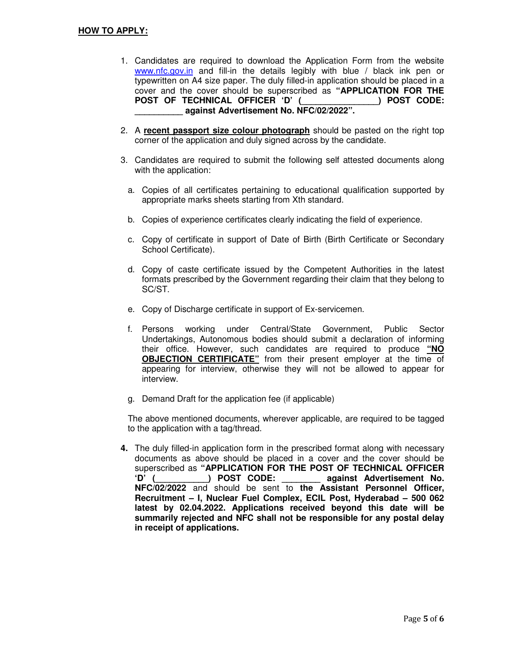- 1. Candidates are required to download the Application Form from the website www.nfc.gov.in and fill-in the details legibly with blue / black ink pen or typewritten on A4 size paper. The duly filled-in application should be placed in a cover and the cover should be superscribed as **"APPLICATION FOR THE POST OF TECHNICAL OFFICER 'D' (\_\_\_\_\_\_\_\_\_\_\_\_\_\_\_\_) POST CODE: \_\_\_\_\_\_\_\_\_\_ against Advertisement No. NFC/02/2022".**
- 2. A **recent passport size colour photograph** should be pasted on the right top corner of the application and duly signed across by the candidate.
- 3. Candidates are required to submit the following self attested documents along with the application:
	- a. Copies of all certificates pertaining to educational qualification supported by appropriate marks sheets starting from Xth standard.
	- b. Copies of experience certificates clearly indicating the field of experience.
	- c. Copy of certificate in support of Date of Birth (Birth Certificate or Secondary School Certificate).
	- d. Copy of caste certificate issued by the Competent Authorities in the latest formats prescribed by the Government regarding their claim that they belong to SC/ST.
	- e. Copy of Discharge certificate in support of Ex-servicemen.
	- f. Persons working under Central/State Government, Public Sector Undertakings, Autonomous bodies should submit a declaration of informing their office. However, such candidates are required to produce **"NO OBJECTION CERTIFICATE"** from their present employer at the time of appearing for interview, otherwise they will not be allowed to appear for interview.
	- g. Demand Draft for the application fee (if applicable)

The above mentioned documents, wherever applicable, are required to be tagged to the application with a tag/thread.

**4.** The duly filled-in application form in the prescribed format along with necessary documents as above should be placed in a cover and the cover should be superscribed as **"APPLICATION FOR THE POST OF TECHNICAL OFFICER 'D' (\_\_\_\_\_\_\_\_\_\_\_) POST CODE: \_\_\_\_\_\_\_\_ against Advertisement No. NFC/02/2022** and should be sent to **the Assistant Personnel Officer, Recruitment – I, Nuclear Fuel Complex, ECIL Post, Hyderabad – 500 062 latest by 02.04.2022. Applications received beyond this date will be summarily rejected and NFC shall not be responsible for any postal delay in receipt of applications.**